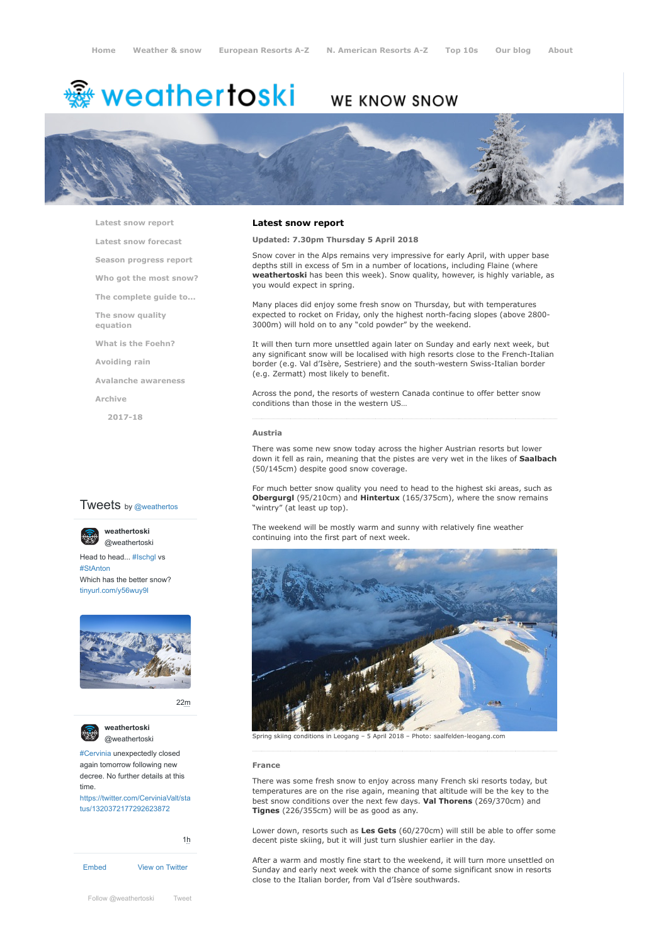# <del>鑾</del> weathertoski

# WE KNOW SNOW



**[Latest snow report](https://www.weathertoski.co.uk/weather-snow/latest-snow-report/)**

**[Latest snow forecast](https://www.weathertoski.co.uk/weather-snow/latest-snow-forecast/)**

**[Season progress report](https://www.weathertoski.co.uk/weather-snow/season-progress-report/)**

**[Who got the most snow?](https://www.weathertoski.co.uk/weather-snow/who-got-the-most-snow/)**

**[The complete guide to...](https://www.weathertoski.co.uk/weather-snow/the-complete-guide-to/)**

**[The snow quality](https://www.weathertoski.co.uk/weather-snow/the-snow-quality-equation/)**

**[What is the Foehn?](https://www.weathertoski.co.uk/weather-snow/what-is-the-foehn/)**

**[Avoiding rain](https://www.weathertoski.co.uk/weather-snow/avoiding-rain/)**

**[Avalanche awareness](https://www.weathertoski.co.uk/weather-snow/avalanche-awareness/)**

**[Archive](https://www.weathertoski.co.uk/weather-snow/archive/)**

**equation**

**[2017-18](https://www.weathertoski.co.uk/weather-snow/archive/2017-18/)**

### **Tweets** by @weathertos

**weathertoski**



Head to head... [#Ischgl](https://twitter.com/hashtag/Ischgl?src=hash) vs [#StAnton](https://twitter.com/hashtag/StAnton?src=hash) Which has the better snow? [tinyurl.com/y56wuy9l](https://t.co/AeKkyB0N9S)



[22m](https://twitter.com/weathertoski/status/1320387692862050304)



**weathertoski**

[#Cervinia](https://twitter.com/hashtag/Cervinia?src=hash) unexpectedly closed again tomorrow following new decree. No further details at this time. [https://twitter.com/CerviniaValt/sta](https://twitter.com/CerviniaValt/status/1320372177292623872)

tus/1320372177292623872

[Embed](https://publish.twitter.com/?url=https%3A%2F%2Ftwitter.com%2Fweathertoski) [View on Twitter](https://twitter.com/weathertoski) [1h](https://twitter.com/weathertoski/status/1320376647305093126) **Latest snow report**

**Updated: 7.30pm Thursday 5 April 2018**

Snow cover in the Alps remains very impressive for early April, with upper base depths still in excess of 5m in a number of locations, including Flaine (where **weathertoski** has been this week). Snow quality, however, is highly variable, as you would expect in spring.

Many places did enjoy some fresh snow on Thursday, but with temperatures expected to rocket on Friday, only the highest north-facing slopes (above 2800- 3000m) will hold on to any "cold powder" by the weekend.

It will then turn more unsettled again later on Sunday and early next week, but any significant snow will be localised with high resorts close to the French-Italian border (e.g. Val d'Isère, Sestriere) and the south-western Swiss-Italian border (e.g. Zermatt) most likely to benefit.

Across the pond, the resorts of western Canada continue to offer better snow conditions than those in the western US…

#### **Austria**

There was some new snow today across the higher Austrian resorts but lower down it fell as rain, meaning that the pistes are very wet in the likes of **Saalbach** (50/145cm) despite good snow coverage.

For much better snow quality you need to head to the highest ski areas, such as **Obergurgl** (95/210cm) and **Hintertux** (165/375cm), where the snow remains "wintry" (at least up top).

The weekend will be mostly warm and sunny with relatively fine weather continuing into the first part of next week.



[@weathertoski](https://twitter.com/weathertoski) Spring skiing conditions in Leogang – <sup>5</sup> April <sup>2018</sup> – Photo: saalfelden-leogang.com

#### **France**

There was some fresh snow to enjoy across many French ski resorts today, but temperatures are on the rise again, meaning that altitude will be the key to the best snow conditions over the next few days. **Val Thorens** (269/370cm) and **Tignes** (226/355cm) will be as good as any.

Lower down, resorts such as **Les Gets** (60/270cm) will still be able to offer some decent piste skiing, but it will just turn slushier earlier in the day.

After a warm and mostly fine start to the weekend, it will turn more unsettled on Sunday and early next week with the chance of some significant snow in resorts close to the Italian border, from Val d'Isère southwards.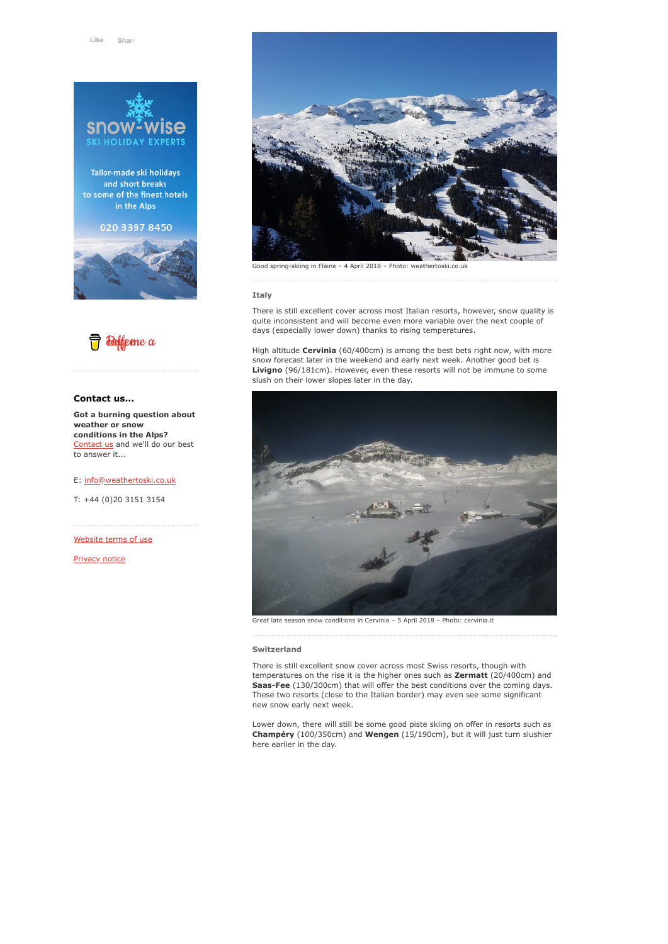

Tailor-made ski holidays and short breaks to some of the finest hotels in the Alps

020 3397 8450





#### **Contact us...**

**Got a burning question about weather or snow conditions in the Alps?** [Contact us](https://www.weathertoski.co.uk/about-1/contact-us/) and we'll do our best to answer it...

#### E: [info@weathertoski.co.uk](mailto:fraser@weathertoski.co.uk)

T: +44 (0)20 3151 3154

[Website terms of use](https://www.weathertoski.co.uk/about-1/website-terms-of-use/)

[Privacy notice](https://www.weathertoski.co.uk/about-1/privacy-notice/)



Good spring-skiing in Flaine – 4 April 2018 – Photo: weathertoski.co.uk

#### **Italy**

There is still excellent cover across most Italian resorts, however, snow quality is quite inconsistent and will become even more variable over the next couple of days (especially lower down) thanks to rising temperatures.

High altitude **Cervinia** (60/400cm) is among the best bets right now, with more snow forecast later in the weekend and early next week. Another good bet is **Livigno** (96/181cm). However, even these resorts will not be immune to some slush on their lower slopes later in the day.



Great late season snow conditions in Cervinia – 5 April 2018 – Photo: cervinia.it

#### **Switzerland**

There is still excellent snow cover across most Swiss resorts, though with temperatures on the rise it is the higher ones such as **Zermatt** (20/400cm) and Saas-Fee (130/300cm) that will offer the best conditions over the coming days. These two resorts (close to the Italian border) may even see some significant new snow early next week.

Lower down, there will still be some good piste skiing on offer in resorts such as **Champéry** (100/350cm) and **Wengen** (15/190cm), but it will just turn slushier here earlier in the day.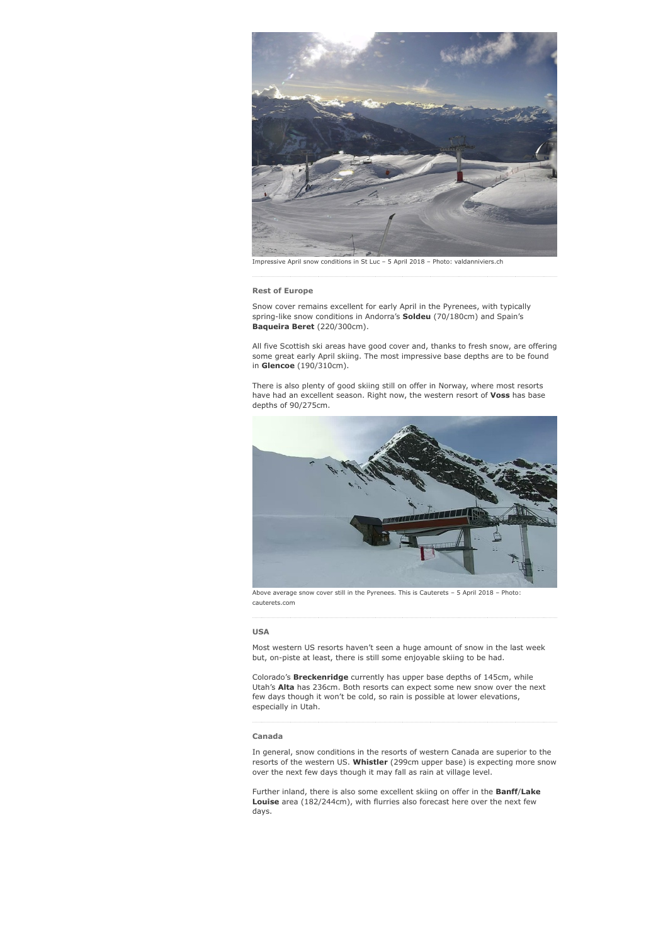

Impressive April snow conditions in St Luc – 5 April 2018 – Photo: valdanniviers.ch

#### **Rest of Europe**

Snow cover remains excellent for early April in the Pyrenees, with typically spring-like snow conditions in Andorra's **Soldeu** (70/180cm) and Spain's **Baqueira Beret** (220/300cm).

All five Scottish ski areas have good cover and, thanks to fresh snow, are offering some great early April skiing. The most impressive base depths are to be found in **Glencoe** (190/310cm).

There is also plenty of good skiing still on offer in Norway, where most resorts have had an excellent season. Right now, the western resort of **Voss** has base depths of 90/275cm.



Above average snow cover still in the Pyrenees. This is Cauterets – 5 April 2018 – Photo: cauterets.com

#### **USA**

Most western US resorts haven't seen a huge amount of snow in the last week but, on-piste at least, there is still some enjoyable skiing to be had.

Colorado's **Breckenridge** currently has upper base depths of 145cm, while Utah's **Alta** has 236cm. Both resorts can expect some new snow over the next few days though it won't be cold, so rain is possible at lower elevations, especially in Utah.

## **Canada**

In general, snow conditions in the resorts of western Canada are superior to the resorts of the western US. **Whistler** (299cm upper base) is expecting more snow over the next few days though it may fall as rain at village level.

Further inland, there is also some excellent skiing on offer in the **Banff**/**Lake Louise** area (182/244cm), with flurries also forecast here over the next few days.